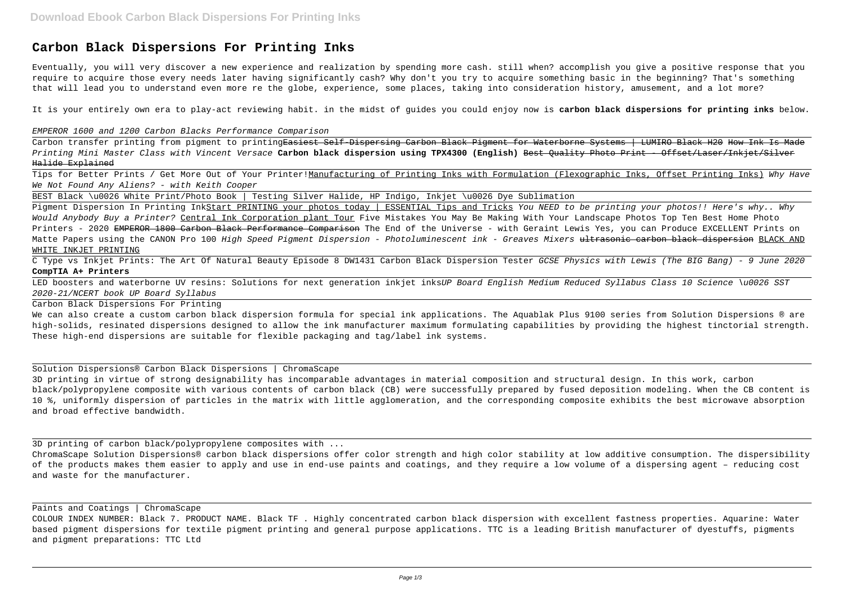# **Carbon Black Dispersions For Printing Inks**

Eventually, you will very discover a new experience and realization by spending more cash. still when? accomplish you give a positive response that you require to acquire those every needs later having significantly cash? Why don't you try to acquire something basic in the beginning? That's something that will lead you to understand even more re the globe, experience, some places, taking into consideration history, amusement, and a lot more?

Carbon transfer printing from pigment to printing<del>Easiest Self-Dispersing Carbon Black Pigment for Waterborne Systems | LUMIRO Black H20 How Ink Is Made</del> Printing Mini Master Class with Vincent Versace **Carbon black dispersion using TPX4300 (English)** Best Quality Photo Print - Offset/Laser/Inkjet/Silver Halide Explained

Tips for Better Prints / Get More Out of Your Printer!Manufacturing of Printing Inks with Formulation (Flexographic Inks, Offset Printing Inks) Why Have We Not Found Any Aliens? - with Keith Cooper

It is your entirely own era to play-act reviewing habit. in the midst of guides you could enjoy now is **carbon black dispersions for printing inks** below.

EMPEROR 1600 and 1200 Carbon Blacks Performance Comparison

Pigment Dispersion In Printing InkStart PRINTING your photos today | ESSENTIAL Tips and Tricks You NEED to be printing your photos!! Here's why.. Why Would Anybody Buy a Printer? Central Ink Corporation plant Tour Five Mistakes You May Be Making With Your Landscape Photos Top Ten Best Home Photo Printers - 2020 EMPEROR 1800 Carbon Black Performance Comparison The End of the Universe - with Geraint Lewis Yes, you can Produce EXCELLENT Prints on Matte Papers using the CANON Pro 100 High Speed Pigment Dispersion - Photoluminescent ink - Greaves Mixers ultrasonic carbon black dispersion BLACK AND WHITE INKJET PRINTING

LED boosters and waterborne UV resins: Solutions for next generation inkjet inksUP Board English Medium Reduced Syllabus Class 10 Science \u0026 SST 2020-21/NCERT book UP Board Syllabus

BEST Black \u0026 White Print/Photo Book | Testing Silver Halide, HP Indigo, Inkjet \u0026 Dye Sublimation

C Type vs Inkjet Prints: The Art Of Natural Beauty Episode 8 DW1431 Carbon Black Dispersion Tester GCSE Physics with Lewis (The BIG Bang) - 9 June 2020 **CompTIA A+ Printers**

Carbon Black Dispersions For Printing

We can also create a custom carbon black dispersion formula for special ink applications. The Aquablak Plus 9100 series from Solution Dispersions ® are high-solids, resinated dispersions designed to allow the ink manufacturer maximum formulating capabilities by providing the highest tinctorial strength. These high-end dispersions are suitable for flexible packaging and tag/label ink systems.

Solution Dispersions® Carbon Black Dispersions | ChromaScape

3D printing in virtue of strong designability has incomparable advantages in material composition and structural design. In this work, carbon black/polypropylene composite with various contents of carbon black (CB) were successfully prepared by fused deposition modeling. When the CB content is 10 %, uniformly dispersion of particles in the matrix with little agglomeration, and the corresponding composite exhibits the best microwave absorption and broad effective bandwidth.

3D printing of carbon black/polypropylene composites with ...

ChromaScape Solution Dispersions® carbon black dispersions offer color strength and high color stability at low additive consumption. The dispersibility of the products makes them easier to apply and use in end-use paints and coatings, and they require a low volume of a dispersing agent – reducing cost and waste for the manufacturer.

Paints and Coatings | ChromaScape

COLOUR INDEX NUMBER: Black 7. PRODUCT NAME. Black TF . Highly concentrated carbon black dispersion with excellent fastness properties. Aquarine: Water based pigment dispersions for textile pigment printing and general purpose applications. TTC is a leading British manufacturer of dyestuffs, pigments and pigment preparations: TTC Ltd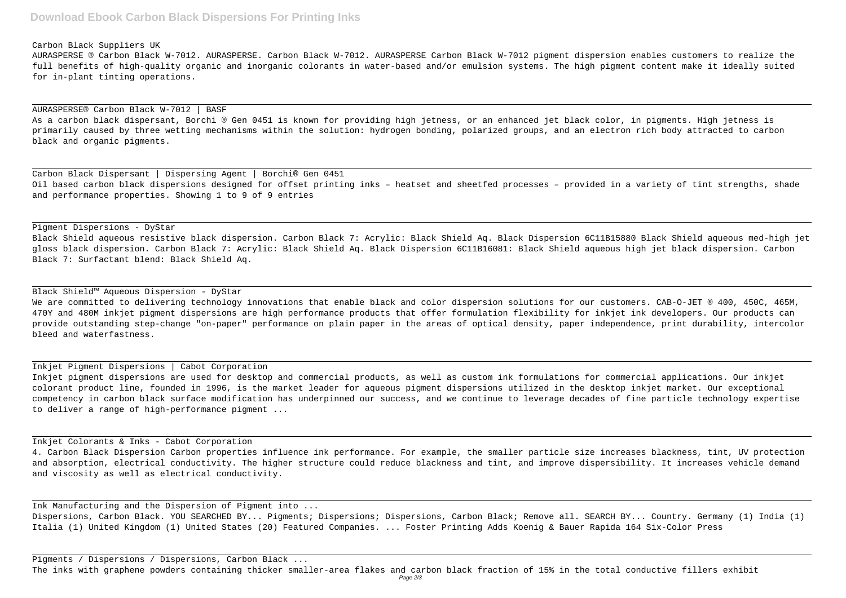## **Download Ebook Carbon Black Dispersions For Printing Inks**

#### Carbon Black Suppliers UK

AURASPERSE ® Carbon Black W-7012. AURASPERSE. Carbon Black W-7012. AURASPERSE Carbon Black W-7012 pigment dispersion enables customers to realize the full benefits of high-quality organic and inorganic colorants in water-based and/or emulsion systems. The high pigment content make it ideally suited for in-plant tinting operations.

## AURASPERSE® Carbon Black W-7012 | BASF As a carbon black dispersant, Borchi ® Gen 0451 is known for providing high jetness, or an enhanced jet black color, in pigments. High jetness is primarily caused by three wetting mechanisms within the solution: hydrogen bonding, polarized groups, and an electron rich body attracted to carbon black and organic pigments.

Carbon Black Dispersant | Dispersing Agent | Borchi® Gen 0451 Oil based carbon black dispersions designed for offset printing inks – heatset and sheetfed processes – provided in a variety of tint strengths, shade and performance properties. Showing 1 to 9 of 9 entries

We are committed to delivering technology innovations that enable black and color dispersion solutions for our customers. CAB-O-JET ® 400, 450C, 465M, 470Y and 480M inkjet pigment dispersions are high performance products that offer formulation flexibility for inkjet ink developers. Our products can provide outstanding step-change "on-paper" performance on plain paper in the areas of optical density, paper independence, print durability, intercolor bleed and waterfastness.

### Pigment Dispersions - DyStar

Black Shield aqueous resistive black dispersion. Carbon Black 7: Acrylic: Black Shield Aq. Black Dispersion 6C11B15880 Black Shield aqueous med-high jet gloss black dispersion. Carbon Black 7: Acrylic: Black Shield Aq. Black Dispersion 6C11B16081: Black Shield aqueous high jet black dispersion. Carbon Black 7: Surfactant blend: Black Shield Aq.

#### Black Shield™ Aqueous Dispersion - DyStar

#### Inkjet Pigment Dispersions | Cabot Corporation

Inkjet pigment dispersions are used for desktop and commercial products, as well as custom ink formulations for commercial applications. Our inkjet colorant product line, founded in 1996, is the market leader for aqueous pigment dispersions utilized in the desktop inkjet market. Our exceptional competency in carbon black surface modification has underpinned our success, and we continue to leverage decades of fine particle technology expertise to deliver a range of high-performance pigment ...

#### Inkjet Colorants & Inks - Cabot Corporation

4. Carbon Black Dispersion Carbon properties influence ink performance. For example, the smaller particle size increases blackness, tint, UV protection and absorption, electrical conductivity. The higher structure could reduce blackness and tint, and improve dispersibility. It increases vehicle demand and viscosity as well as electrical conductivity.

Ink Manufacturing and the Dispersion of Pigment into ... Dispersions, Carbon Black. YOU SEARCHED BY... Pigments; Dispersions; Dispersions, Carbon Black; Remove all. SEARCH BY... Country. Germany (1) India (1) Italia (1) United Kingdom (1) United States (20) Featured Companies. ... Foster Printing Adds Koenig & Bauer Rapida 164 Six-Color Press